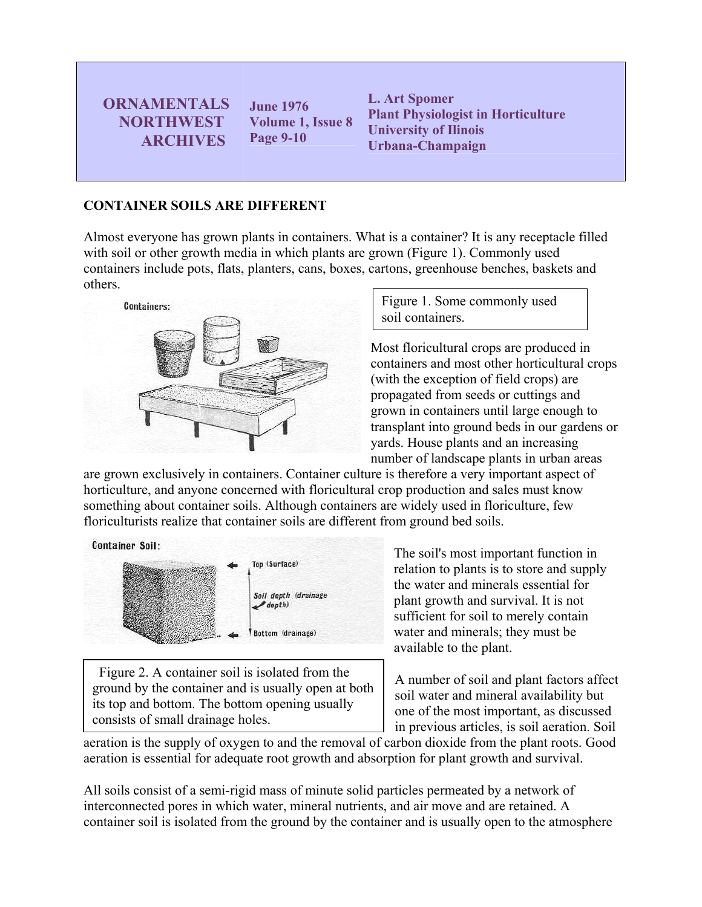**ORNAMENTALS NORTHWEST ARCHIVES** 

**June 1976 Volume 1, Issue 8 Page 9-10**

**L. Art Spomer Plant Physiologist in Horticulture University of Ilinois Urbana-Champaign** 

## **CONTAINER SOILS ARE DIFFERENT**

Almost everyone has grown plants in containers. What is a container? It is any receptacle filled with soil or other growth media in which plants are grown (Figure 1). Commonly used containers include pots, flats, planters, cans, boxes, cartons, greenhouse benches, baskets and others.



Figure 1. Some commonly used soil containers.

Most floricultural crops are produced in containers and most other horticultural crops (with the exception of field crops) are propagated from seeds or cuttings and grown in containers until large enough to transplant into ground beds in our gardens or yards. House plants and an increasing number of landscape plants in urban areas

are grown exclusively in containers. Container culture is therefore a very important aspect of horticulture, and anyone concerned with floricultural crop production and sales must know something about container soils. Although containers are widely used in floriculture, few floriculturists realize that container soils are different from ground bed soils.



 Figure 2. A container soil is isolated from the ground by the container and is usually open at both its top and bottom. The bottom opening usually consists of small drainage holes.

The soil's most important function in relation to plants is to store and supply the water and minerals essential for plant growth and survival. It is not sufficient for soil to merely contain water and minerals; they must be available to the plant.

A number of soil and plant factors affect soil water and mineral availability but one of the most important, as discussed in previous articles, is soil aeration. Soil

aeration is the supply of oxygen to and the removal of carbon dioxide from the plant roots. Good aeration is essential for adequate root growth and absorption for plant growth and survival.

All soils consist of a semi-rigid mass of minute solid particles permeated by a network of interconnected pores in which water, mineral nutrients, and air move and are retained. A container soil is isolated from the ground by the container and is usually open to the atmosphere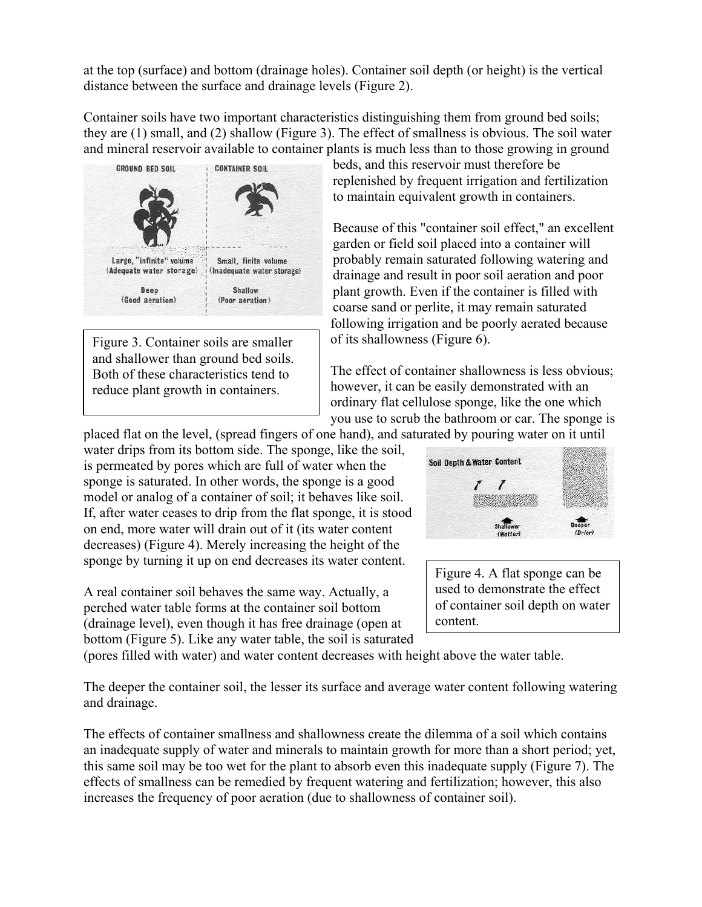at the top (surface) and bottom (drainage holes). Container soil depth (or height) is the vertical distance between the surface and drainage levels (Figure 2).

Container soils have two important characteristics distinguishing them from ground bed soils; they are (1) small, and (2) shallow (Figure 3). The effect of smallness is obvious. The soil water and mineral reservoir available to container plants is much less than to those growing in ground



Figure 3. Container soils are smaller of its shallowness (Figure 6). and shallower than ground bed soils. Both of these characteristics tend to reduce plant growth in containers.

beds, and this reservoir must therefore be replenished by frequent irrigation and fertilization to maintain equivalent growth in containers.

Because of this "container soil effect," an excellent garden or field soil placed into a container will probably remain saturated following watering and drainage and result in poor soil aeration and poor plant growth. Even if the container is filled with coarse sand or perlite, it may remain saturated following irrigation and be poorly aerated because

The effect of container shallowness is less obvious; however, it can be easily demonstrated with an ordinary flat cellulose sponge, like the one which you use to scrub the bathroom or car. The sponge is

placed flat on the level, (spread fingers of one hand), and saturated by pouring water on it until

water drips from its bottom side. The sponge, like the soil, is permeated by pores which are full of water when the sponge is saturated. In other words, the sponge is a good model or analog of a container of soil; it behaves like soil. If, after water ceases to drip from the flat sponge, it is stood on end, more water will drain out of it (its water content decreases) (Figure 4). Merely increasing the height of the sponge by turning it up on end decreases its water content.

A real container soil behaves the same way. Actually, a perched water table forms at the container soil bottom (drainage level), even though it has free drainage (open at bottom (Figure 5). Like any water table, the soil is saturated



Figure 4. A flat sponge can be used to demonstrate the effect of container soil depth on water content.

(pores filled with water) and water content decreases with height above the water table.

The deeper the container soil, the lesser its surface and average water content following watering and drainage.

The effects of container smallness and shallowness create the dilemma of a soil which contains an inadequate supply of water and minerals to maintain growth for more than a short period; yet, this same soil may be too wet for the plant to absorb even this inadequate supply (Figure 7). The effects of smallness can be remedied by frequent watering and fertilization; however, this also increases the frequency of poor aeration (due to shallowness of container soil).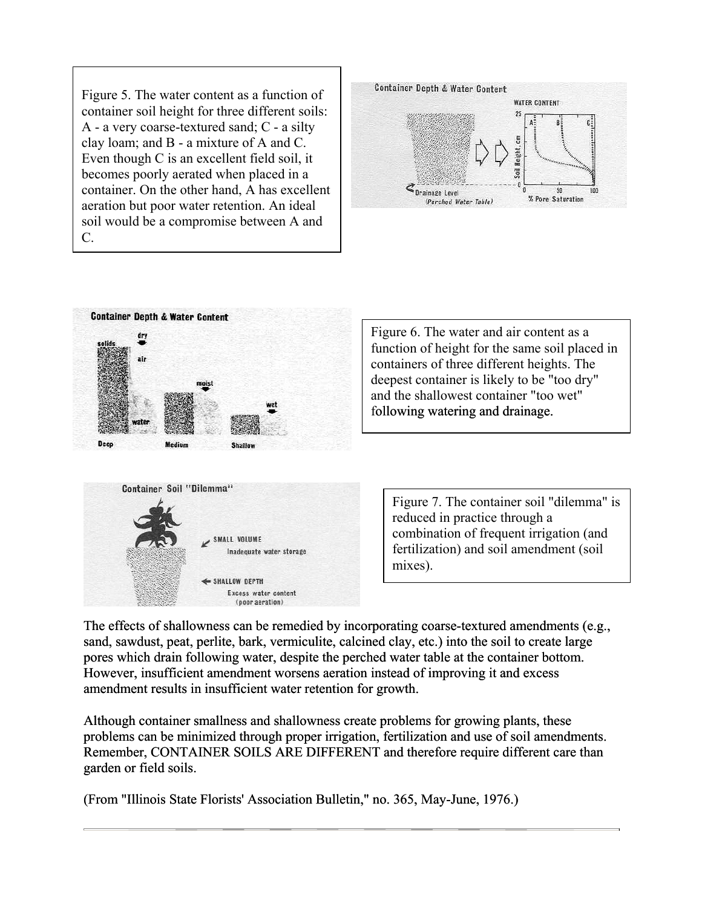Figure 5. The water content as a function of container soil height for three different soils: A - a very coarse-textured sand; C - a silty clay loam; and B - a mixture of A and C. Even though C is an excellent field soil, it becomes poorly aerated when placed in a container. On the other hand, A has excellent aeration but poor water retention. An ideal soil would be a compromise between A and C.





The effects of shallowness can be remedied by incorporating coarse-textured amendments (e.g., sand, sawdust, peat, perlite, bark, vermiculite, calcined clay, etc.) into the soil to create large pores which drain following water, despite the perched water table at the container bottom. However, insufficient amendment worsens aeration instead of improving it and excess amendment results in insufficient water retention for growth.

Although container smallness and shallowness create problems for growing plants, these problems can be minimized through proper irrigation, fertilization and use of soil amendments. Remember, CONTAINER SOILS ARE DIFFERENT and therefore require different care than garden or field soils.

(From "Illinois State Florists' Association Bulletin," no. 365, May-June, 1976.)